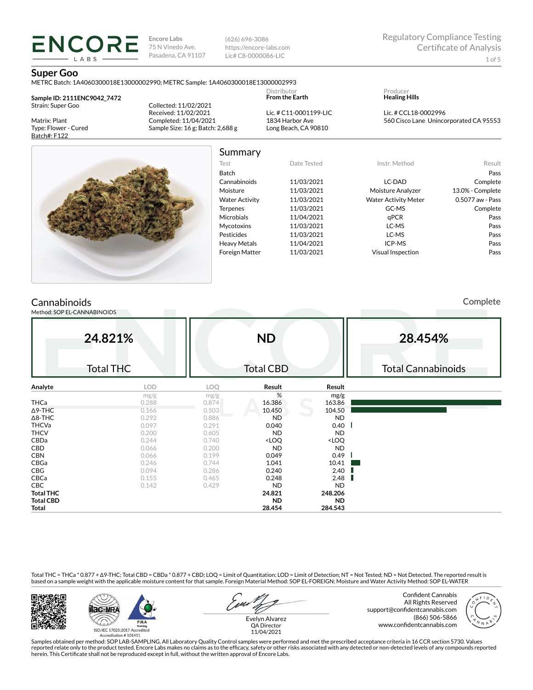(626) 696-3086 https://encore-labs.com Lic# C8-0000086-LIC

#### **Super Goo**

METRC Batch: 1A4060300018E13000002990; METRC Sample: 1A4060300018E13000002993

**Sample ID: 2111ENC9042\_7472** Strain: Super Goo

**ENCORE** LABS

Matrix: Plant Type: Flower - Cured Batch#: F122

Collected: 11/02/2021 Received: 11/02/2021 Completed: 11/04/2021 Sample Size: 16 g; Batch: 2,688 g

Lic. # C11-0001199-LIC 1834 Harbor Ave Long Beach, CA 90810

Distributor **From the Earth**

Producer **Healing Hills**

Lic. # CCL18-0002996 560 Cisco Lane Unincorporated CA 95553



## Summary

Test Date Tested Instr. Method Result Batch Pass Cannabinoids 11/03/2021 LC-DAD Complete Moisture 11/03/2021 Moisture Analyzer 13.0% - Complete Water Activity 11/03/2021 Water Activity Meter 0.5077 aw - Pass Terpenes 11/03/2021 GC-MS Complete Microbials 11/04/2021 qPCR Pass Mycotoxins 11/03/2021 LC-MS Pass Pesticides 11/03/2021 LC-MS Pass Heavy Metals  $11/04/2021$  ICP-MS Pass Foreign Matter 11/03/2021 Visual Inspection Pass

# **Cannabinoids**

Method: SOP EL-CANNABINOIDS

Complete

| 24.821%<br><b>Total THC</b> |            |       | <b>ND</b><br><b>Total CBD</b>                            |                              | 28.454%<br><b>Total Cannabinoids</b> |  |  |
|-----------------------------|------------|-------|----------------------------------------------------------|------------------------------|--------------------------------------|--|--|
| Analyte                     | <b>LOD</b> | LOQ   | Result                                                   | Result                       |                                      |  |  |
|                             | mg/g       | mg/g  | %                                                        | mg/g                         |                                      |  |  |
| THCa                        | 0.288      | 0.874 | 16.386                                                   | 163.86                       |                                      |  |  |
| $\Delta$ 9-THC              | 0.166      | 0.503 | 10.450                                                   | 104.50                       |                                      |  |  |
| $\Delta$ 8-THC              | 0.292      | 0.886 | <b>ND</b>                                                | <b>ND</b>                    |                                      |  |  |
| <b>THCVa</b>                | 0.097      | 0.291 | 0.040                                                    | 0.40                         |                                      |  |  |
| <b>THCV</b>                 | 0.200      | 0.605 | <b>ND</b>                                                | <b>ND</b>                    |                                      |  |  |
| CBDa                        | 0.244      | 0.740 | <loq< td=""><td><loq< td=""><td></td></loq<></td></loq<> | <loq< td=""><td></td></loq<> |                                      |  |  |
| CBD                         | 0.066      | 0.200 | <b>ND</b>                                                | <b>ND</b>                    |                                      |  |  |
| <b>CBN</b>                  | 0.066      | 0.199 | 0.049                                                    | 0.49                         |                                      |  |  |
| CBGa                        | 0.246      | 0.744 | 1.041                                                    | 10.41                        |                                      |  |  |
| CBG                         | 0.094      | 0.286 | 0.240                                                    | 2.40                         |                                      |  |  |
| CBCa                        | 0.155      | 0.465 | 0.248                                                    | 2.48                         |                                      |  |  |
| <b>CBC</b>                  | 0.142      | 0.429 | <b>ND</b>                                                | <b>ND</b>                    |                                      |  |  |
| <b>Total THC</b>            |            |       | 24.821                                                   | 248.206                      |                                      |  |  |
| <b>Total CBD</b>            |            |       | <b>ND</b>                                                | <b>ND</b>                    |                                      |  |  |
| Total                       |            |       | 28.454                                                   | 284.543                      |                                      |  |  |

Total THC = THCa \* 0.877 + ∆9-THC; Total CBD = CBDa \* 0.877 + CBD; LOQ = Limit of Quantitation; LOD = Limit of Detection; NT = Not Tested; ND = Not Detected. The reported result is based on a sample weight with the applicable moisture content for that sample. Foreign Material Method: SOP EL-FOREIGN; Moisture and Water Activity Method: SOP EL-WATER





Confident Cannabis All Rights Reserved support@confidentcannabis.com (866) 506-5866 www.confidentcannabis.com



Evelyn Alvarez QA Director 11/04/2021

Samples obtained per method: SOP LAB-SAMPLING. All Laboratory Quality Control samples were performed and met the prescribed acceptance criteria in 16 CCR section 5730. Values reported relate only to the product tested. Encore Labs makes no claims as to the efficacy, safety or other risks associated with any detected or non-detected levels of any compounds reported<br>herein. This Certificate shall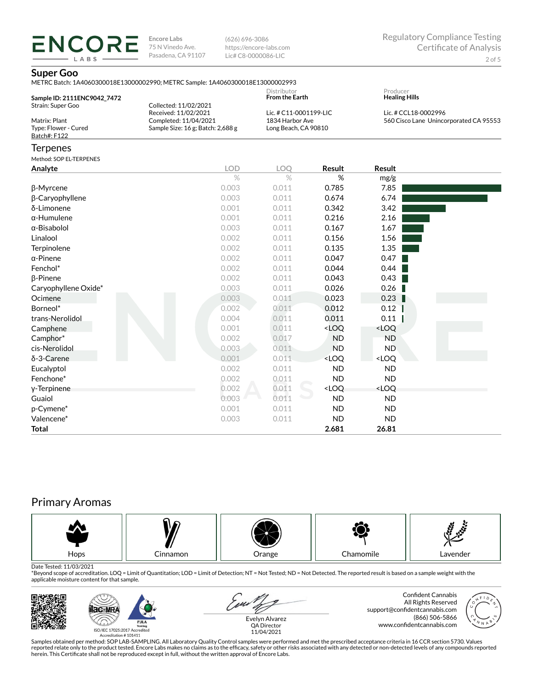(626) 696-3086 https://encore-labs.com Lic# C8-0000086-LIC

Producer

### **Super Goo**

**ENCORE** LABS

| METRC Batch: 1A4060300018E13000002990: METRC Sample: 1A4060300018E13000002993 |             |
|-------------------------------------------------------------------------------|-------------|
|                                                                               | Dictributor |

| Sample ID: 2111ENC9042 7472 |                                       | <b>From the Earth</b>  | <b>Healing Hills</b>                   |
|-----------------------------|---------------------------------------|------------------------|----------------------------------------|
| Strain: Super Goo           | Collected: 11/02/2021                 |                        |                                        |
|                             | Received: 11/02/2021                  | Lic. # C11-0001199-LIC | Lic. # CCL18-0002996                   |
| Matrix: Plant               | Completed: 11/04/2021                 | 1834 Harbor Ave        | 560 Cisco Lane Unincorporated CA 95553 |
| Type: Flower - Cured        | Sample Size: $16$ g; Batch: $2,688$ g | Long Beach, CA 90810   |                                        |
| Batch#: F122                |                                       |                        |                                        |

### **Terpenes**

Method: SOP EL-TERPENES

| Method: SOP EL-TERPENES |            |       |                                                          |                              |  |
|-------------------------|------------|-------|----------------------------------------------------------|------------------------------|--|
| Analyte                 | <b>LOD</b> | LOQ   | Result                                                   | Result                       |  |
|                         | $\%$       | $\%$  | %                                                        | mg/g                         |  |
| β-Myrcene               | 0.003      | 0.011 | 0.785                                                    | 7.85                         |  |
| β-Caryophyllene         | 0.003      | 0.011 | 0.674                                                    | 6.74                         |  |
| δ-Limonene              | 0.001      | 0.011 | 0.342                                                    | 3.42                         |  |
| $\alpha$ -Humulene      | 0.001      | 0.011 | 0.216                                                    | 2.16                         |  |
| $\alpha$ -Bisabolol     | 0.003      | 0.011 | 0.167                                                    | 1.67                         |  |
| Linalool                | 0.002      | 0.011 | 0.156                                                    | 1.56                         |  |
| Terpinolene             | 0.002      | 0.011 | 0.135                                                    | 1.35                         |  |
| $\alpha$ -Pinene        | 0.002      | 0.011 | 0.047                                                    | 0.47                         |  |
| Fenchol*                | 0.002      | 0.011 | 0.044                                                    | 0.44                         |  |
| β-Pinene                | 0.002      | 0.011 | 0.043                                                    | 0.43                         |  |
| Caryophyllene Oxide*    | 0.003      | 0.011 | 0.026                                                    | 0.26                         |  |
| Ocimene                 | 0.003      | 0.011 | 0.023                                                    | 0.23                         |  |
| Borneol*                | 0.002      | 0.011 | 0.012                                                    | 0.12                         |  |
| trans-Nerolidol         | 0.004      | 0.011 | 0.011                                                    | 0.11                         |  |
| Camphene                | 0.001      | 0.011 | <loq< th=""><th><loq< th=""><th></th></loq<></th></loq<> | <loq< th=""><th></th></loq<> |  |
| Camphor*                | 0.002      | 0.017 | <b>ND</b>                                                | <b>ND</b>                    |  |
| cis-Nerolidol           | 0.003      | 0.011 | <b>ND</b>                                                | <b>ND</b>                    |  |
| δ-3-Carene              | 0.001      | 0.011 | <loq< th=""><th><loq< th=""><th></th></loq<></th></loq<> | <loq< th=""><th></th></loq<> |  |
| Eucalyptol              | 0.002      | 0.011 | <b>ND</b>                                                | <b>ND</b>                    |  |
| Fenchone*               | 0.002      | 0.011 | <b>ND</b>                                                | <b>ND</b>                    |  |
| y-Terpinene             | 0.002      | 0.011 | <loq< th=""><th><loq< th=""><th></th></loq<></th></loq<> | <loq< th=""><th></th></loq<> |  |
| Guaiol                  | 0.003      | 0.011 | <b>ND</b>                                                | <b>ND</b>                    |  |
| p-Cymene*               | 0.001      | 0.011 | <b>ND</b>                                                | <b>ND</b>                    |  |
| Valencene*              | 0.003      | 0.011 | <b>ND</b>                                                | <b>ND</b>                    |  |
| <b>Total</b>            |            |       | 2.681                                                    | 26.81                        |  |

# Primary Aromas



Date Tested: 11/03/2021<br>\*Beyond scope of accreditation. LOQ = Limit of Quantitation; LOD = Limit of Detection; NT = Not Tested; ND = Not Detected. The reported result is based on a sample weight with the applicable moisture content for that sample.





Samples obtained per method: SOP LAB-SAMPLING. All Laboratory Quality Control samples were performed and met the prescribed acceptance criteria in 16 CCR section 5730. Values reported relate only to the product tested. Encore Labs makes no claims as to the efficacy, safety or other risks associated with any detected or non-detected levels of any compounds reported<br>herein. This Certificate shall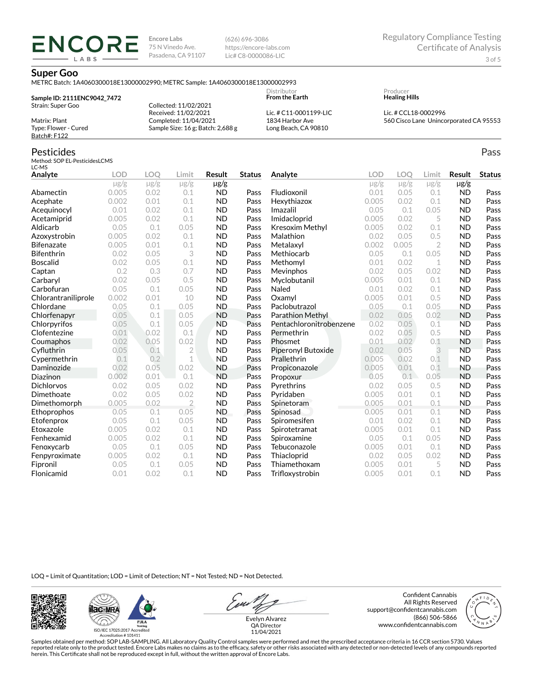(626) 696-3086 https://encore-labs.com Lic# C8-0000086-LIC

Distributor

#### **Super Goo**

ENCOR LABS

METRC Batch: 1A4060300018E13000002990; METRC Sample: 1A4060300018E13000002993

#### **Sample ID: 2111ENC9042\_7472** Strain: Super Goo Matrix: Plant Type: Flower - Cured Batch#: F122 Collected: 11/02/2021 Received: 11/02/2021 Completed: 11/04/2021 Sample Size: 16 g; Batch: 2,688 g **From the Earth** Lic. # C11-0001199-LIC 1834 Harbor Ave Long Beach, CA 90810

#### Pesticides

Method: SOP EL-PesticidesLCMS LC-MS

| Analyte             | <b>LOD</b> | LOO       | Limit          | Result    | <b>Status</b> | Analyte                 | <b>LOD</b> | <b>LOO</b> | Limit          | <b>Result</b> | <b>Status</b> |
|---------------------|------------|-----------|----------------|-----------|---------------|-------------------------|------------|------------|----------------|---------------|---------------|
|                     | $\mu$ g/g  | $\mu$ g/g | $\mu$ g/g      | $\mu$ g/g |               |                         | $\mu$ g/g  | $\mu$ g/g  | $\mu$ g/g      | $\mu$ g/g     |               |
| Abamectin           | 0.005      | 0.02      | 0.1            | <b>ND</b> | Pass          | Fludioxonil             | 0.01       | 0.05       | 0.1            | <b>ND</b>     | Pass          |
| Acephate            | 0.002      | 0.01      | 0.1            | <b>ND</b> | Pass          | Hexythiazox             | 0.005      | 0.02       | 0.1            | <b>ND</b>     | Pass          |
| Acequinocyl         | 0.01       | 0.02      | 0.1            | <b>ND</b> | Pass          | Imazalil                | 0.05       | 0.1        | 0.05           | <b>ND</b>     | Pass          |
| Acetamiprid         | 0.005      | 0.02      | 0.1            | <b>ND</b> | Pass          | Imidacloprid            | 0.005      | 0.02       | 5              | <b>ND</b>     | Pass          |
| Aldicarb            | 0.05       | 0.1       | 0.05           | <b>ND</b> | Pass          | Kresoxim Methyl         | 0.005      | 0.02       | 0.1            | <b>ND</b>     | Pass          |
| Azoxystrobin        | 0.005      | 0.02      | 0.1            | <b>ND</b> | Pass          | Malathion               | 0.02       | 0.05       | 0.5            | <b>ND</b>     | Pass          |
| <b>Bifenazate</b>   | 0.005      | 0.01      | 0.1            | <b>ND</b> | Pass          | Metalaxyl               | 0.002      | 0.005      | $\overline{2}$ | <b>ND</b>     | Pass          |
| <b>Bifenthrin</b>   | 0.02       | 0.05      | 3              | <b>ND</b> | Pass          | Methiocarb              | 0.05       | 0.1        | 0.05           | <b>ND</b>     | Pass          |
| <b>Boscalid</b>     | 0.02       | 0.05      | 0.1            | <b>ND</b> | Pass          | Methomyl                | 0.01       | 0.02       | 1              | <b>ND</b>     | Pass          |
| Captan              | 0.2        | 0.3       | 0.7            | <b>ND</b> | Pass          | Mevinphos               | 0.02       | 0.05       | 0.02           | <b>ND</b>     | Pass          |
| Carbaryl            | 0.02       | 0.05      | 0.5            | <b>ND</b> | Pass          | Myclobutanil            | 0.005      | 0.01       | 0.1            | <b>ND</b>     | Pass          |
| Carbofuran          | 0.05       | 0.1       | 0.05           | <b>ND</b> | Pass          | Naled                   | 0.01       | 0.02       | 0.1            | <b>ND</b>     | Pass          |
| Chlorantraniliprole | 0.002      | 0.01      | 10             | <b>ND</b> | Pass          | Oxamyl                  | 0.005      | 0.01       | 0.5            | <b>ND</b>     | Pass          |
| Chlordane           | 0.05       | 0.1       | 0.05           | <b>ND</b> | Pass          | Paclobutrazol           | 0.05       | 0.1        | 0.05           | <b>ND</b>     | Pass          |
| Chlorfenapyr        | 0.05       | 0.1       | 0.05           | <b>ND</b> | Pass          | Parathion Methyl        | 0.02       | 0.05       | 0.02           | <b>ND</b>     | Pass          |
| Chlorpyrifos        | 0.05       | 0.1       | 0.05           | <b>ND</b> | Pass          | Pentachloronitrobenzene | 0.02       | 0.05       | 0.1            | <b>ND</b>     | Pass          |
| Clofentezine        | 0.01       | 0.02      | 0.1            | <b>ND</b> | Pass          | Permethrin              | 0.02       | 0.05       | 0.5            | <b>ND</b>     | Pass          |
| Coumaphos           | 0.02       | 0.05      | 0.02           | <b>ND</b> | Pass          | Phosmet                 | 0.01       | 0.02       | 0.1            | <b>ND</b>     | Pass          |
| Cyfluthrin          | 0.05       | 0.1       | $\overline{2}$ | <b>ND</b> | Pass          | Piperonyl Butoxide      | 0.02       | 0.05       | 3              | <b>ND</b>     | Pass          |
| Cypermethrin        | 0.1        | 0.2       | $\mathbf{1}$   | <b>ND</b> | Pass          | Prallethrin             | 0.005      | 0.02       | 0.1            | <b>ND</b>     | Pass          |
| Daminozide          | 0.02       | 0.05      | 0.02           | <b>ND</b> | Pass          | Propiconazole           | 0.005      | 0.01       | 0.1            | <b>ND</b>     | Pass          |
| Diazinon            | 0.002      | 0.01      | 0.1            | <b>ND</b> | Pass          | Propoxur                | 0.05       | 0.1        | 0.05           | <b>ND</b>     | Pass          |
| <b>Dichlorvos</b>   | 0.02       | 0.05      | 0.02           | <b>ND</b> | Pass          | Pyrethrins              | 0.02       | 0.05       | 0.5            | <b>ND</b>     | Pass          |
| Dimethoate          | 0.02       | 0.05      | 0.02           | <b>ND</b> | Pass          | Pyridaben               | 0.005      | 0.01       | 0.1            | <b>ND</b>     | Pass          |
| Dimethomorph        | 0.005      | 0.02      | $\overline{2}$ | <b>ND</b> | Pass          | Spinetoram              | 0.005      | 0.01       | 0.1            | <b>ND</b>     | Pass          |
| Ethoprophos         | 0.05       | 0.1       | 0.05           | <b>ND</b> | Pass          | Spinosad                | 0.005      | 0.01       | 0.1            | <b>ND</b>     | Pass          |
| Etofenprox          | 0.05       | 0.1       | 0.05           | <b>ND</b> | Pass          | Spiromesifen            | 0.01       | 0.02       | 0.1            | <b>ND</b>     | Pass          |
| Etoxazole           | 0.005      | 0.02      | 0.1            | <b>ND</b> | Pass          | Spirotetramat           | 0.005      | 0.01       | 0.1            | <b>ND</b>     | Pass          |
| Fenhexamid          | 0.005      | 0.02      | 0.1            | <b>ND</b> | Pass          | Spiroxamine             | 0.05       | 0.1        | 0.05           | <b>ND</b>     | Pass          |
| Fenoxycarb          | 0.05       | 0.1       | 0.05           | <b>ND</b> | Pass          | Tebuconazole            | 0.005      | 0.01       | 0.1            | <b>ND</b>     | Pass          |
| Fenpyroximate       | 0.005      | 0.02      | 0.1            | <b>ND</b> | Pass          | Thiacloprid             | 0.02       | 0.05       | 0.02           | <b>ND</b>     | Pass          |
| Fipronil            | 0.05       | 0.1       | 0.05           | <b>ND</b> | Pass          | Thiamethoxam            | 0.005      | 0.01       | 5              | <b>ND</b>     | Pass          |
| Flonicamid          | 0.01       | 0.02      | 0.1            | <b>ND</b> | Pass          | Trifloxystrobin         | 0.005      | 0.01       | 0.1            | <b>ND</b>     | Pass          |

LOQ = Limit of Quantitation; LOD = Limit of Detection; NT = Not Tested; ND = Not Detected.





Evelyn Alvarez QA Director

Confident Cannabis All Rights Reserved support@confidentcannabis.com (866) 506-5866 www.confidentcannabis.com



11/04/2021

Samples obtained per method: SOP LAB-SAMPLING. All Laboratory Quality Control samples were performed and met the prescribed acceptance criteria in 16 CCR section 5730. Values reported relate only to the product tested. Encore Labs makes no claims as to the efficacy, safety or other risks associated with any detected or non-detected levels of any compounds reported<br>herein. This Certificate shall

Producer **Healing Hills**

Lic. # CCL18-0002996 560 Cisco Lane Unincorporated CA 95553

Pass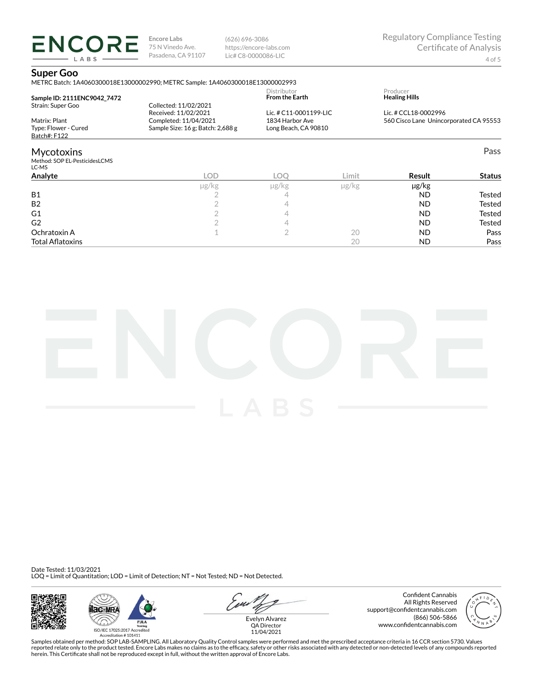(626) 696-3086 https://encore-labs.com Lic# C8-0000086-LIC

# **Super Goo**

**ENCORE** LABS

|                                                                            | METRC Batch: 1A4060300018E13000002990; METRC Sample: 1A4060300018E13000002993                               |                                                                   |            |                                                                |               |  |
|----------------------------------------------------------------------------|-------------------------------------------------------------------------------------------------------------|-------------------------------------------------------------------|------------|----------------------------------------------------------------|---------------|--|
| Sample ID: 2111ENC9042 7472                                                |                                                                                                             | Distributor<br><b>From the Earth</b>                              |            | Producer<br><b>Healing Hills</b>                               |               |  |
| Strain: Super Goo<br>Matrix: Plant<br>Type: Flower - Cured<br>Batch#: F122 | Collected: 11/02/2021<br>Received: 11/02/2021<br>Completed: 11/04/2021<br>Sample Size: 16 g; Batch: 2,688 g | Lic. # C11-0001199-LIC<br>1834 Harbor Ave<br>Long Beach, CA 90810 |            | Lic. # CCL18-0002996<br>560 Cisco Lane Unincorporated CA 95553 |               |  |
|                                                                            |                                                                                                             |                                                                   |            |                                                                |               |  |
| <b>Mycotoxins</b><br>Method: SOP EL-PesticidesLCMS<br>LC-MS                |                                                                                                             |                                                                   |            |                                                                | Pass          |  |
| Analyte                                                                    | <b>LOD</b>                                                                                                  | LOO                                                               | Limit      | Result                                                         | <b>Status</b> |  |
|                                                                            | µg/kg                                                                                                       | $\mu$ g/kg                                                        | $\mu$ g/kg | $\mu$ g/kg                                                     |               |  |
| <b>B1</b>                                                                  |                                                                                                             |                                                                   |            | <b>ND</b>                                                      | <b>Tested</b> |  |
| B <sub>2</sub>                                                             |                                                                                                             |                                                                   |            | <b>ND</b>                                                      | Tested        |  |
| G1                                                                         |                                                                                                             |                                                                   |            | <b>ND</b>                                                      | Tested        |  |
| G <sub>2</sub>                                                             |                                                                                                             |                                                                   |            | <b>ND</b>                                                      | Tested        |  |
| Ochratoxin A                                                               |                                                                                                             |                                                                   | 20         | <b>ND</b>                                                      | Pass          |  |

Total AØatoxins 20 ND Pass



Date Tested: 11/03/2021 LOQ = Limit of Quantitation; LOD = Limit of Detection; NT = Not Tested; ND = Not Detected.







Confident Cannabis All Rights Reserved support@confidentcannabis.com (866) 506-5866 www.confidentcannabis.com



QA Director 11/04/2021

Samples obtained per method: SOP LAB-SAMPLING. All Laboratory Quality Control samples were performed and met the prescribed acceptance criteria in 16 CCR section 5730. Values reported relate only to the product tested. Encore Labs makes no claims as to the efficacy, safety or other risks associated with any detected or non-detected levels of any compounds reported<br>herein. This Certificate shall

4 of 5